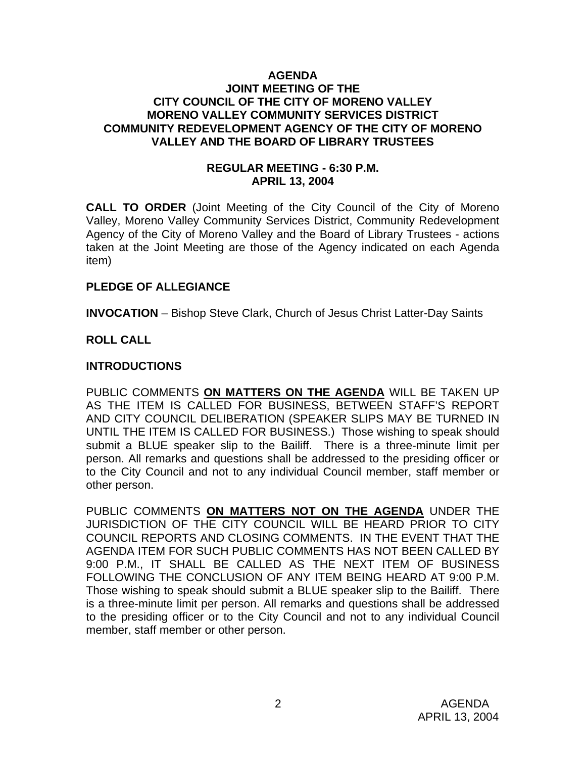#### **AGENDA JOINT MEETING OF THE CITY COUNCIL OF THE CITY OF MORENO VALLEY MORENO VALLEY COMMUNITY SERVICES DISTRICT COMMUNITY REDEVELOPMENT AGENCY OF THE CITY OF MORENO VALLEY AND THE BOARD OF LIBRARY TRUSTEES**

### **REGULAR MEETING - 6:30 P.M. APRIL 13, 2004**

**CALL TO ORDER** (Joint Meeting of the City Council of the City of Moreno Valley, Moreno Valley Community Services District, Community Redevelopment Agency of the City of Moreno Valley and the Board of Library Trustees - actions taken at the Joint Meeting are those of the Agency indicated on each Agenda item)

### **PLEDGE OF ALLEGIANCE**

**INVOCATION** – Bishop Steve Clark, Church of Jesus Christ Latter-Day Saints

### **ROLL CALL**

#### **INTRODUCTIONS**

PUBLIC COMMENTS **ON MATTERS ON THE AGENDA** WILL BE TAKEN UP AS THE ITEM IS CALLED FOR BUSINESS, BETWEEN STAFF'S REPORT AND CITY COUNCIL DELIBERATION (SPEAKER SLIPS MAY BE TURNED IN UNTIL THE ITEM IS CALLED FOR BUSINESS.) Those wishing to speak should submit a BLUE speaker slip to the Bailiff. There is a three-minute limit per person. All remarks and questions shall be addressed to the presiding officer or to the City Council and not to any individual Council member, staff member or other person.

PUBLIC COMMENTS **ON MATTERS NOT ON THE AGENDA** UNDER THE JURISDICTION OF THE CITY COUNCIL WILL BE HEARD PRIOR TO CITY COUNCIL REPORTS AND CLOSING COMMENTS. IN THE EVENT THAT THE AGENDA ITEM FOR SUCH PUBLIC COMMENTS HAS NOT BEEN CALLED BY 9:00 P.M., IT SHALL BE CALLED AS THE NEXT ITEM OF BUSINESS FOLLOWING THE CONCLUSION OF ANY ITEM BEING HEARD AT 9:00 P.M. Those wishing to speak should submit a BLUE speaker slip to the Bailiff. There is a three-minute limit per person. All remarks and questions shall be addressed to the presiding officer or to the City Council and not to any individual Council member, staff member or other person.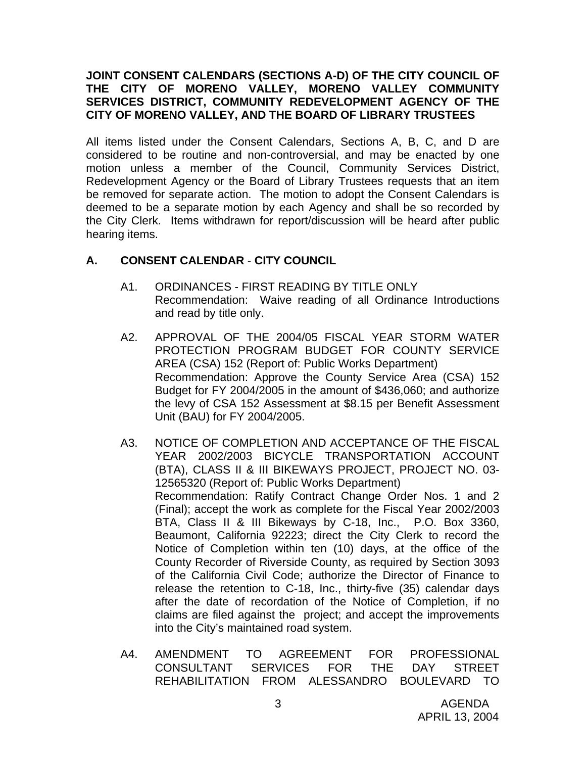### **JOINT CONSENT CALENDARS (SECTIONS A-D) OF THE CITY COUNCIL OF THE CITY OF MORENO VALLEY, MORENO VALLEY COMMUNITY SERVICES DISTRICT, COMMUNITY REDEVELOPMENT AGENCY OF THE CITY OF MORENO VALLEY, AND THE BOARD OF LIBRARY TRUSTEES**

All items listed under the Consent Calendars, Sections A, B, C, and D are considered to be routine and non-controversial, and may be enacted by one motion unless a member of the Council, Community Services District, Redevelopment Agency or the Board of Library Trustees requests that an item be removed for separate action. The motion to adopt the Consent Calendars is deemed to be a separate motion by each Agency and shall be so recorded by the City Clerk. Items withdrawn for report/discussion will be heard after public hearing items.

## **A. CONSENT CALENDAR** - **CITY COUNCIL**

- A1. ORDINANCES FIRST READING BY TITLE ONLY Recommendation: Waive reading of all Ordinance Introductions and read by title only.
- A2. APPROVAL OF THE 2004/05 FISCAL YEAR STORM WATER PROTECTION PROGRAM BUDGET FOR COUNTY SERVICE AREA (CSA) 152 (Report of: Public Works Department) Recommendation: Approve the County Service Area (CSA) 152 Budget for FY 2004/2005 in the amount of \$436,060; and authorize the levy of CSA 152 Assessment at \$8.15 per Benefit Assessment Unit (BAU) for FY 2004/2005.
- A3. NOTICE OF COMPLETION AND ACCEPTANCE OF THE FISCAL YEAR 2002/2003 BICYCLE TRANSPORTATION ACCOUNT (BTA), CLASS II & III BIKEWAYS PROJECT, PROJECT NO. 03- 12565320 (Report of: Public Works Department) Recommendation: Ratify Contract Change Order Nos. 1 and 2 (Final); accept the work as complete for the Fiscal Year 2002/2003 BTA, Class II & III Bikeways by C-18, Inc., P.O. Box 3360, Beaumont, California 92223; direct the City Clerk to record the Notice of Completion within ten (10) days, at the office of the County Recorder of Riverside County, as required by Section 3093 of the California Civil Code; authorize the Director of Finance to release the retention to C-18, Inc., thirty-five (35) calendar days after the date of recordation of the Notice of Completion, if no claims are filed against the project; and accept the improvements into the City's maintained road system.
- A4. AMENDMENT TO AGREEMENT FOR PROFESSIONAL CONSULTANT SERVICES FOR THE DAY STREET REHABILITATION FROM ALESSANDRO BOULEVARD TO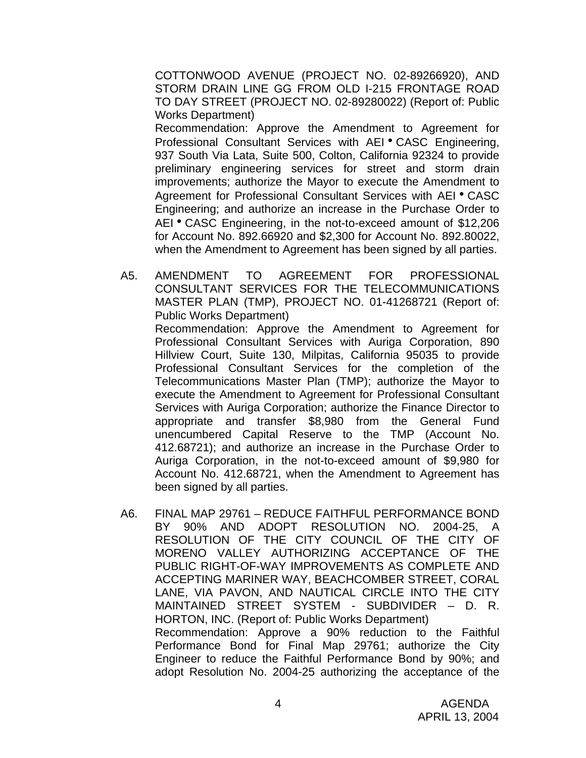COTTONWOOD AVENUE (PROJECT NO. 02-89266920), AND STORM DRAIN LINE GG FROM OLD I-215 FRONTAGE ROAD TO DAY STREET (PROJECT NO. 02-89280022) (Report of: Public Works Department)

 Recommendation: Approve the Amendment to Agreement for Professional Consultant Services with AEI • CASC Engineering, 937 South Via Lata, Suite 500, Colton, California 92324 to provide preliminary engineering services for street and storm drain improvements; authorize the Mayor to execute the Amendment to Agreement for Professional Consultant Services with AEI . CASC Engineering; and authorize an increase in the Purchase Order to AEI • CASC Engineering, in the not-to-exceed amount of \$12,206 for Account No. 892.66920 and \$2,300 for Account No. 892.80022, when the Amendment to Agreement has been signed by all parties.

A5. AMENDMENT TO AGREEMENT FOR PROFESSIONAL CONSULTANT SERVICES FOR THE TELECOMMUNICATIONS MASTER PLAN (TMP), PROJECT NO. 01-41268721 (Report of: Public Works Department)

 Recommendation: Approve the Amendment to Agreement for Professional Consultant Services with Auriga Corporation, 890 Hillview Court, Suite 130, Milpitas, California 95035 to provide Professional Consultant Services for the completion of the Telecommunications Master Plan (TMP); authorize the Mayor to execute the Amendment to Agreement for Professional Consultant Services with Auriga Corporation; authorize the Finance Director to appropriate and transfer \$8,980 from the General Fund unencumbered Capital Reserve to the TMP (Account No. 412.68721); and authorize an increase in the Purchase Order to Auriga Corporation, in the not-to-exceed amount of \$9,980 for Account No. 412.68721, when the Amendment to Agreement has been signed by all parties.

A6. FINAL MAP 29761 – REDUCE FAITHFUL PERFORMANCE BOND BY 90% AND ADOPT RESOLUTION NO. 2004-25, A RESOLUTION OF THE CITY COUNCIL OF THE CITY OF MORENO VALLEY AUTHORIZING ACCEPTANCE OF THE PUBLIC RIGHT-OF-WAY IMPROVEMENTS AS COMPLETE AND ACCEPTING MARINER WAY, BEACHCOMBER STREET, CORAL LANE, VIA PAVON, AND NAUTICAL CIRCLE INTO THE CITY MAINTAINED STREET SYSTEM - SUBDIVIDER – D. R. HORTON, INC. (Report of: Public Works Department) Recommendation: Approve a 90% reduction to the Faithful Performance Bond for Final Map 29761; authorize the City Engineer to reduce the Faithful Performance Bond by 90%; and adopt Resolution No. 2004-25 authorizing the acceptance of the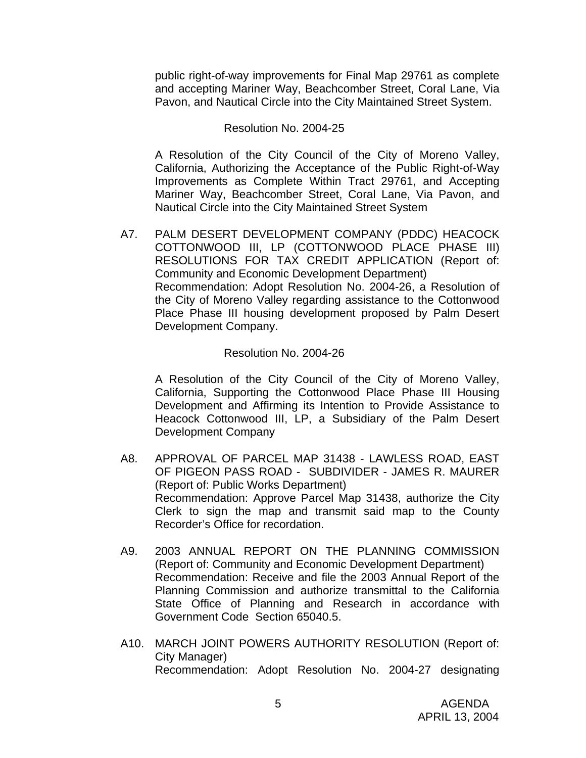public right-of-way improvements for Final Map 29761 as complete and accepting Mariner Way, Beachcomber Street, Coral Lane, Via Pavon, and Nautical Circle into the City Maintained Street System.

#### Resolution No. 2004-25

A Resolution of the City Council of the City of Moreno Valley, California, Authorizing the Acceptance of the Public Right-of-Way Improvements as Complete Within Tract 29761, and Accepting Mariner Way, Beachcomber Street, Coral Lane, Via Pavon, and Nautical Circle into the City Maintained Street System

A7. PALM DESERT DEVELOPMENT COMPANY (PDDC) HEACOCK COTTONWOOD III, LP (COTTONWOOD PLACE PHASE III) RESOLUTIONS FOR TAX CREDIT APPLICATION (Report of: Community and Economic Development Department) Recommendation: Adopt Resolution No. 2004-26, a Resolution of the City of Moreno Valley regarding assistance to the Cottonwood Place Phase III housing development proposed by Palm Desert Development Company.

### Resolution No. 2004-26

A Resolution of the City Council of the City of Moreno Valley, California, Supporting the Cottonwood Place Phase III Housing Development and Affirming its Intention to Provide Assistance to Heacock Cottonwood III, LP, a Subsidiary of the Palm Desert Development Company

- A8. APPROVAL OF PARCEL MAP 31438 LAWLESS ROAD, EAST OF PIGEON PASS ROAD - SUBDIVIDER - JAMES R. MAURER (Report of: Public Works Department) Recommendation: Approve Parcel Map 31438, authorize the City Clerk to sign the map and transmit said map to the County Recorder's Office for recordation.
- A9. 2003 ANNUAL REPORT ON THE PLANNING COMMISSION (Report of: Community and Economic Development Department) Recommendation: Receive and file the 2003 Annual Report of the Planning Commission and authorize transmittal to the California State Office of Planning and Research in accordance with Government Code Section 65040.5.
- A10. MARCH JOINT POWERS AUTHORITY RESOLUTION (Report of: City Manager) Recommendation: Adopt Resolution No. 2004-27 designating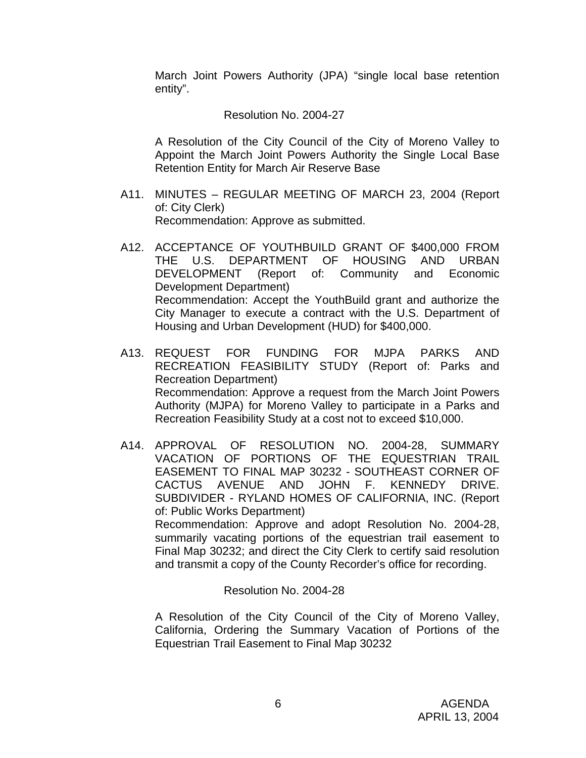March Joint Powers Authority (JPA) "single local base retention entity".

#### Resolution No. 2004-27

 A Resolution of the City Council of the City of Moreno Valley to Appoint the March Joint Powers Authority the Single Local Base Retention Entity for March Air Reserve Base

- A11. MINUTES REGULAR MEETING OF MARCH 23, 2004 (Report of: City Clerk) Recommendation: Approve as submitted.
- A12. ACCEPTANCE OF YOUTHBUILD GRANT OF \$400,000 FROM THE U.S. DEPARTMENT OF HOUSING AND URBAN DEVELOPMENT (Report of: Community and Economic Development Department) Recommendation: Accept the YouthBuild grant and authorize the City Manager to execute a contract with the U.S. Department of Housing and Urban Development (HUD) for \$400,000.
- A13. REQUEST FOR FUNDING FOR MJPA PARKS AND RECREATION FEASIBILITY STUDY (Report of: Parks and Recreation Department) Recommendation: Approve a request from the March Joint Powers Authority (MJPA) for Moreno Valley to participate in a Parks and Recreation Feasibility Study at a cost not to exceed \$10,000.
- A14. APPROVAL OF RESOLUTION NO. 2004-28, SUMMARY VACATION OF PORTIONS OF THE EQUESTRIAN TRAIL EASEMENT TO FINAL MAP 30232 - SOUTHEAST CORNER OF CACTUS AVENUE AND JOHN F. KENNEDY DRIVE. SUBDIVIDER - RYLAND HOMES OF CALIFORNIA, INC. (Report of: Public Works Department) Recommendation: Approve and adopt Resolution No. 2004-28, summarily vacating portions of the equestrian trail easement to Final Map 30232; and direct the City Clerk to certify said resolution and transmit a copy of the County Recorder's office for recording.

Resolution No. 2004-28

 A Resolution of the City Council of the City of Moreno Valley, California, Ordering the Summary Vacation of Portions of the Equestrian Trail Easement to Final Map 30232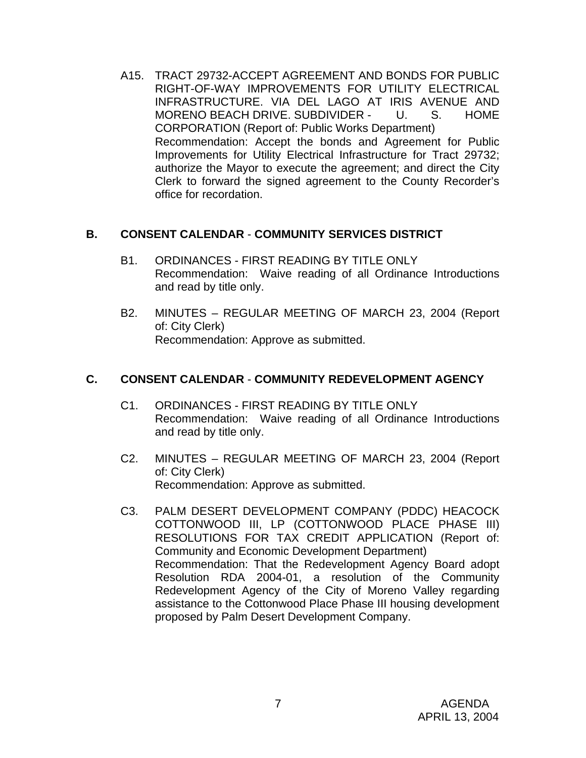A15. TRACT 29732-ACCEPT AGREEMENT AND BONDS FOR PUBLIC RIGHT-OF-WAY IMPROVEMENTS FOR UTILITY ELECTRICAL INFRASTRUCTURE. VIA DEL LAGO AT IRIS AVENUE AND MORENO BEACH DRIVE. SUBDIVIDER - U. S. HOME CORPORATION (Report of: Public Works Department) Recommendation: Accept the bonds and Agreement for Public Improvements for Utility Electrical Infrastructure for Tract 29732; authorize the Mayor to execute the agreement; and direct the City Clerk to forward the signed agreement to the County Recorder's office for recordation.

### **B. CONSENT CALENDAR** - **COMMUNITY SERVICES DISTRICT**

- B1. ORDINANCES FIRST READING BY TITLE ONLY Recommendation: Waive reading of all Ordinance Introductions and read by title only.
- B2. MINUTES REGULAR MEETING OF MARCH 23, 2004 (Report of: City Clerk) Recommendation: Approve as submitted.

# **C. CONSENT CALENDAR** - **COMMUNITY REDEVELOPMENT AGENCY**

- C1. ORDINANCES FIRST READING BY TITLE ONLY Recommendation: Waive reading of all Ordinance Introductions and read by title only.
- C2. MINUTES REGULAR MEETING OF MARCH 23, 2004 (Report of: City Clerk) Recommendation: Approve as submitted.
- C3. PALM DESERT DEVELOPMENT COMPANY (PDDC) HEACOCK COTTONWOOD III, LP (COTTONWOOD PLACE PHASE III) RESOLUTIONS FOR TAX CREDIT APPLICATION (Report of: Community and Economic Development Department) Recommendation: That the Redevelopment Agency Board adopt Resolution RDA 2004-01, a resolution of the Community Redevelopment Agency of the City of Moreno Valley regarding assistance to the Cottonwood Place Phase III housing development proposed by Palm Desert Development Company.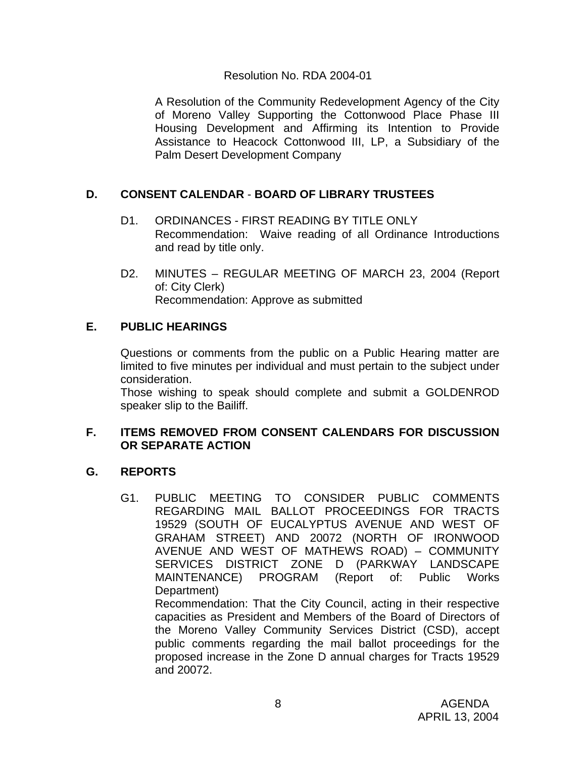### Resolution No. RDA 2004-01

 A Resolution of the Community Redevelopment Agency of the City of Moreno Valley Supporting the Cottonwood Place Phase III Housing Development and Affirming its Intention to Provide Assistance to Heacock Cottonwood III, LP, a Subsidiary of the Palm Desert Development Company

# **D. CONSENT CALENDAR** - **BOARD OF LIBRARY TRUSTEES**

- D1. ORDINANCES FIRST READING BY TITLE ONLY Recommendation: Waive reading of all Ordinance Introductions and read by title only.
- D2. MINUTES REGULAR MEETING OF MARCH 23, 2004 (Report of: City Clerk) Recommendation: Approve as submitted

# **E. PUBLIC HEARINGS**

Questions or comments from the public on a Public Hearing matter are limited to five minutes per individual and must pertain to the subject under consideration.

 Those wishing to speak should complete and submit a GOLDENROD speaker slip to the Bailiff.

### **F. ITEMS REMOVED FROM CONSENT CALENDARS FOR DISCUSSION OR SEPARATE ACTION**

# **G. REPORTS**

G1. PUBLIC MEETING TO CONSIDER PUBLIC COMMENTS REGARDING MAIL BALLOT PROCEEDINGS FOR TRACTS 19529 (SOUTH OF EUCALYPTUS AVENUE AND WEST OF GRAHAM STREET) AND 20072 (NORTH OF IRONWOOD AVENUE AND WEST OF MATHEWS ROAD) – COMMUNITY SERVICES DISTRICT ZONE D (PARKWAY LANDSCAPE MAINTENANCE) PROGRAM (Report of: Public Works Department) Recommendation: That the City Council, acting in their respective

capacities as President and Members of the Board of Directors of the Moreno Valley Community Services District (CSD), accept public comments regarding the mail ballot proceedings for the proposed increase in the Zone D annual charges for Tracts 19529 and 20072.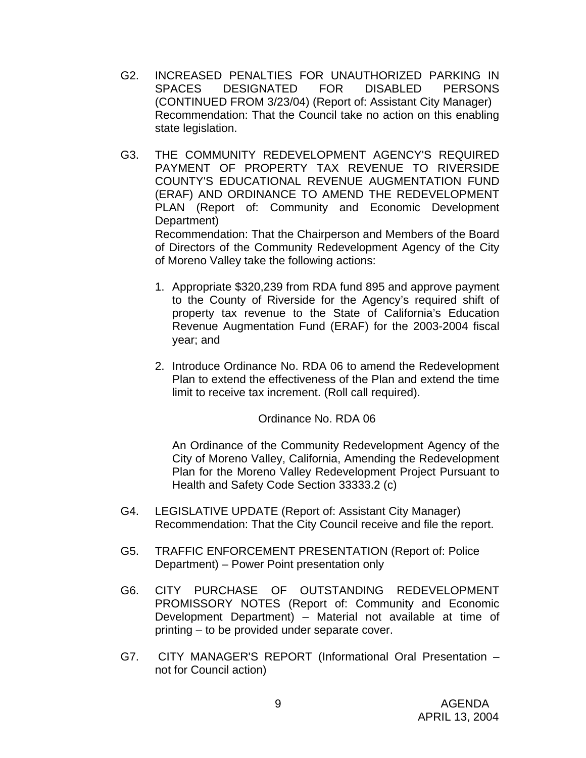- G2. INCREASED PENALTIES FOR UNAUTHORIZED PARKING IN SPACES DESIGNATED FOR DISABLED PERSONS (CONTINUED FROM 3/23/04) (Report of: Assistant City Manager) Recommendation: That the Council take no action on this enabling state legislation.
- G3. THE COMMUNITY REDEVELOPMENT AGENCY'S REQUIRED PAYMENT OF PROPERTY TAX REVENUE TO RIVERSIDE COUNTY'S EDUCATIONAL REVENUE AUGMENTATION FUND (ERAF) AND ORDINANCE TO AMEND THE REDEVELOPMENT PLAN (Report of: Community and Economic Development Department)

 Recommendation: That the Chairperson and Members of the Board of Directors of the Community Redevelopment Agency of the City of Moreno Valley take the following actions:

- 1. Appropriate \$320,239 from RDA fund 895 and approve payment to the County of Riverside for the Agency's required shift of property tax revenue to the State of California's Education Revenue Augmentation Fund (ERAF) for the 2003-2004 fiscal year; and
- 2. Introduce Ordinance No. RDA 06 to amend the Redevelopment Plan to extend the effectiveness of the Plan and extend the time limit to receive tax increment. (Roll call required).

Ordinance No. RDA 06

An Ordinance of the Community Redevelopment Agency of the City of Moreno Valley, California, Amending the Redevelopment Plan for the Moreno Valley Redevelopment Project Pursuant to Health and Safety Code Section 33333.2 (c)

- G4. LEGISLATIVE UPDATE (Report of: Assistant City Manager) Recommendation: That the City Council receive and file the report.
- G5. TRAFFIC ENFORCEMENT PRESENTATION (Report of: Police Department) – Power Point presentation only
- G6. CITY PURCHASE OF OUTSTANDING REDEVELOPMENT PROMISSORY NOTES (Report of: Community and Economic Development Department) – Material not available at time of printing – to be provided under separate cover.
- G7. CITY MANAGER'S REPORT (Informational Oral Presentation not for Council action)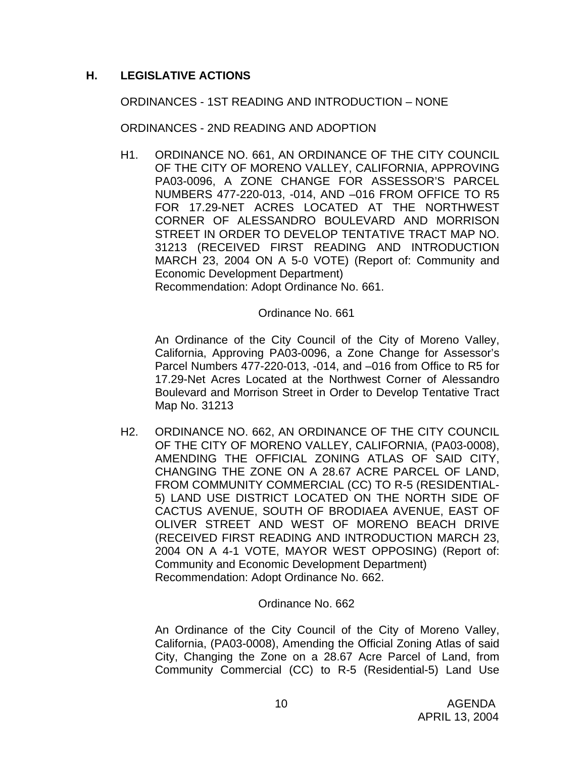# **H. LEGISLATIVE ACTIONS**

ORDINANCES - 1ST READING AND INTRODUCTION – NONE

ORDINANCES - 2ND READING AND ADOPTION

H1. ORDINANCE NO. 661, AN ORDINANCE OF THE CITY COUNCIL OF THE CITY OF MORENO VALLEY, CALIFORNIA, APPROVING PA03-0096, A ZONE CHANGE FOR ASSESSOR'S PARCEL NUMBERS 477-220-013, -014, AND –016 FROM OFFICE TO R5 FOR 17.29-NET ACRES LOCATED AT THE NORTHWEST CORNER OF ALESSANDRO BOULEVARD AND MORRISON STREET IN ORDER TO DEVELOP TENTATIVE TRACT MAP NO. 31213 (RECEIVED FIRST READING AND INTRODUCTION MARCH 23, 2004 ON A 5-0 VOTE) (Report of: Community and Economic Development Department) Recommendation: Adopt Ordinance No. 661.

Ordinance No. 661

An Ordinance of the City Council of the City of Moreno Valley, California, Approving PA03-0096, a Zone Change for Assessor's Parcel Numbers 477-220-013, -014, and –016 from Office to R5 for 17.29-Net Acres Located at the Northwest Corner of Alessandro Boulevard and Morrison Street in Order to Develop Tentative Tract Map No. 31213

 H2. ORDINANCE NO. 662, AN ORDINANCE OF THE CITY COUNCIL OF THE CITY OF MORENO VALLEY, CALIFORNIA, (PA03-0008), AMENDING THE OFFICIAL ZONING ATLAS OF SAID CITY, CHANGING THE ZONE ON A 28.67 ACRE PARCEL OF LAND, FROM COMMUNITY COMMERCIAL (CC) TO R-5 (RESIDENTIAL-5) LAND USE DISTRICT LOCATED ON THE NORTH SIDE OF CACTUS AVENUE, SOUTH OF BRODIAEA AVENUE, EAST OF OLIVER STREET AND WEST OF MORENO BEACH DRIVE (RECEIVED FIRST READING AND INTRODUCTION MARCH 23, 2004 ON A 4-1 VOTE, MAYOR WEST OPPOSING) (Report of: Community and Economic Development Department) Recommendation: Adopt Ordinance No. 662.

### Ordinance No. 662

 An Ordinance of the City Council of the City of Moreno Valley, California, (PA03-0008), Amending the Official Zoning Atlas of said City, Changing the Zone on a 28.67 Acre Parcel of Land, from Community Commercial (CC) to R-5 (Residential-5) Land Use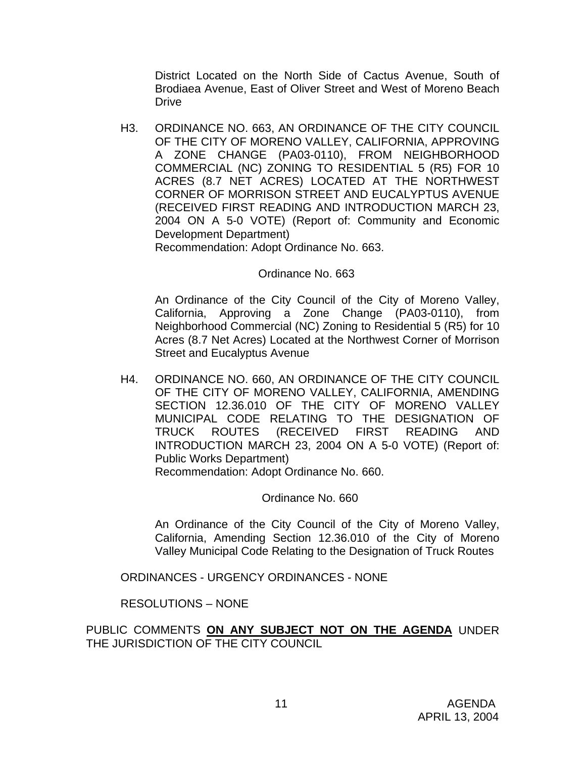District Located on the North Side of Cactus Avenue, South of Brodiaea Avenue, East of Oliver Street and West of Moreno Beach Drive

 H3. ORDINANCE NO. 663, AN ORDINANCE OF THE CITY COUNCIL OF THE CITY OF MORENO VALLEY, CALIFORNIA, APPROVING A ZONE CHANGE (PA03-0110), FROM NEIGHBORHOOD COMMERCIAL (NC) ZONING TO RESIDENTIAL 5 (R5) FOR 10 ACRES (8.7 NET ACRES) LOCATED AT THE NORTHWEST CORNER OF MORRISON STREET AND EUCALYPTUS AVENUE (RECEIVED FIRST READING AND INTRODUCTION MARCH 23, 2004 ON A 5-0 VOTE) (Report of: Community and Economic Development Department)

Recommendation: Adopt Ordinance No. 663.

### Ordinance No. 663

An Ordinance of the City Council of the City of Moreno Valley, California, Approving a Zone Change (PA03-0110), from Neighborhood Commercial (NC) Zoning to Residential 5 (R5) for 10 Acres (8.7 Net Acres) Located at the Northwest Corner of Morrison Street and Eucalyptus Avenue

 H4. ORDINANCE NO. 660, AN ORDINANCE OF THE CITY COUNCIL OF THE CITY OF MORENO VALLEY, CALIFORNIA, AMENDING SECTION 12.36.010 OF THE CITY OF MORENO VALLEY MUNICIPAL CODE RELATING TO THE DESIGNATION OF TRUCK ROUTES (RECEIVED FIRST READING AND INTRODUCTION MARCH 23, 2004 ON A 5-0 VOTE) (Report of: Public Works Department) Recommendation: Adopt Ordinance No. 660.

#### Ordinance No. 660

An Ordinance of the City Council of the City of Moreno Valley, California, Amending Section 12.36.010 of the City of Moreno Valley Municipal Code Relating to the Designation of Truck Routes

ORDINANCES - URGENCY ORDINANCES - NONE

RESOLUTIONS – NONE

PUBLIC COMMENTS **ON ANY SUBJECT NOT ON THE AGENDA** UNDER THE JURISDICTION OF THE CITY COUNCIL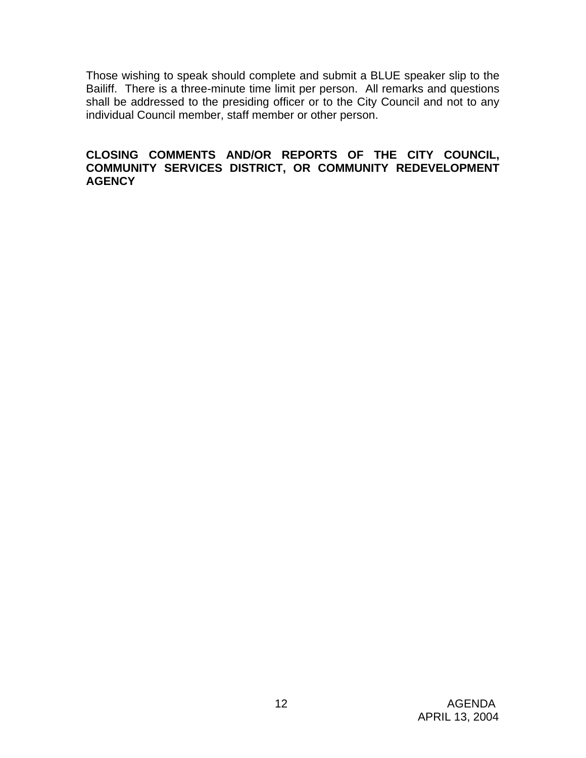Those wishing to speak should complete and submit a BLUE speaker slip to the Bailiff. There is a three-minute time limit per person. All remarks and questions shall be addressed to the presiding officer or to the City Council and not to any individual Council member, staff member or other person.

### **CLOSING COMMENTS AND/OR REPORTS OF THE CITY COUNCIL, COMMUNITY SERVICES DISTRICT, OR COMMUNITY REDEVELOPMENT AGENCY**